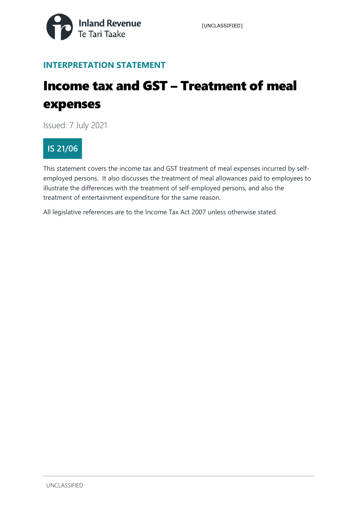

## **INTERPRETATION STATEMENT**

# Income tax and GST – Treatment of meal expenses

Issued: 7 July 2021

## **IS 21/06**

This statement covers the income tax and GST treatment of meal expenses incurred by selfemployed persons. It also discusses the treatment of meal allowances paid to employees to illustrate the differences with the treatment of self-employed persons, and also the treatment of entertainment expenditure for the same reason.

All legislative references are to the Income Tax Act 2007 unless otherwise stated.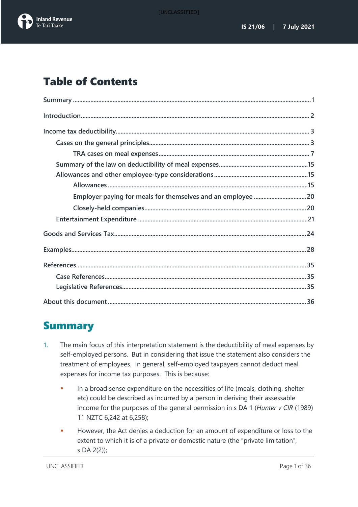

## Table of Contents

## <span id="page-1-0"></span>Summary

- 1. The main focus of this interpretation statement is the deductibility of meal expenses by self-employed persons. But in considering that issue the statement also considers the treatment of employees. In general, self-employed taxpayers cannot deduct meal expenses for income tax purposes. This is because:
	- In a broad sense expenditure on the necessities of life (meals, clothing, shelter etc) could be described as incurred by a person in deriving their assessable income for the purposes of the general permission in s DA 1 (*Hunter v CIR* (1989) 11 NZTC 6,242 at 6,258);
	- **However, the Act denies a deduction for an amount of expenditure or loss to the** extent to which it is of a private or domestic nature (the "private limitation", s DA 2(2));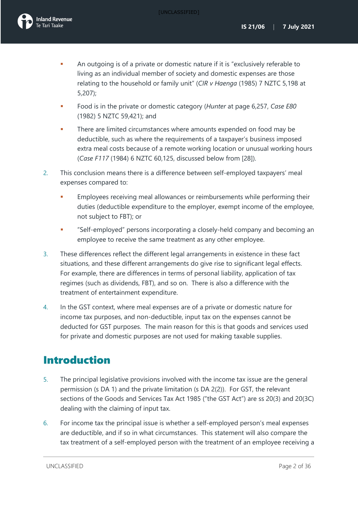- An outgoing is of a private or domestic nature if it is "exclusively referable to living as an individual member of society and domestic expenses are those relating to the household or family unit" (*CIR v Haenga* (1985) 7 NZTC 5,198 at 5,207);
- Food is in the private or domestic category (*Hunter* at page 6,257, *Case E80* (1982) 5 NZTC 59,421); and
- There are limited circumstances where amounts expended on food may be deductible, such as where the requirements of a taxpayer's business imposed extra meal costs because of a remote working location or unusual working hours (*Case F117* (1984) 6 NZTC 60,125, discussed below from [\[28\]](#page-10-0)).
- 2. This conclusion means there is a difference between self-employed taxpayers' meal expenses compared to:
	- Employees receiving meal allowances or reimbursements while performing their duties (deductible expenditure to the employer, exempt income of the employee, not subject to FBT); or
	- "Self-employed" persons incorporating a closely-held company and becoming an employee to receive the same treatment as any other employee.
- 3. These differences reflect the different legal arrangements in existence in these fact situations, and these different arrangements do give rise to significant legal effects. For example, there are differences in terms of personal liability, application of tax regimes (such as dividends, FBT), and so on. There is also a difference with the treatment of entertainment expenditure.
- 4. In the GST context, where meal expenses are of a private or domestic nature for income tax purposes, and non-deductible, input tax on the expenses cannot be deducted for GST purposes. The main reason for this is that goods and services used for private and domestic purposes are not used for making taxable supplies.

## <span id="page-2-0"></span>Introduction

- 5. The principal legislative provisions involved with the income tax issue are the general permission (s DA 1) and the private limitation (s DA 2(2)). For GST, the relevant sections of the Goods and Services Tax Act 1985 ("the GST Act") are ss 20(3) and 20(3C) dealing with the claiming of input tax.
- 6. For income tax the principal issue is whether a self-employed person's meal expenses are deductible, and if so in what circumstances. This statement will also compare the tax treatment of a self-employed person with the treatment of an employee receiving a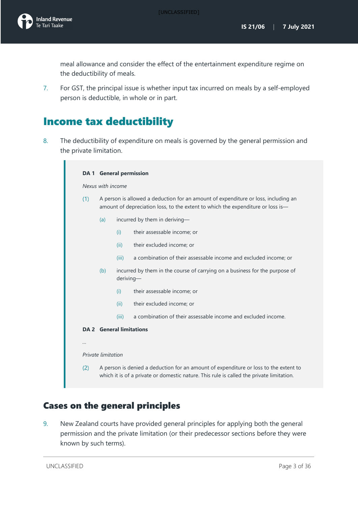meal allowance and consider the effect of the entertainment expenditure regime on the deductibility of meals.

7. For GST, the principal issue is whether input tax incurred on meals by a self-employed person is deductible, in whole or in part.

## <span id="page-3-0"></span>Income tax deductibility

8. The deductibility of expenditure on meals is governed by the general permission and the private limitation.

|                   | <b>DA 1</b> General permission                                                                                                                                                   |                                 |                                                                             |  |  |
|-------------------|----------------------------------------------------------------------------------------------------------------------------------------------------------------------------------|---------------------------------|-----------------------------------------------------------------------------|--|--|
| Nexus with income |                                                                                                                                                                                  |                                 |                                                                             |  |  |
| (1)               | A person is allowed a deduction for an amount of expenditure or loss, including an<br>amount of depreciation loss, to the extent to which the expenditure or loss is-            |                                 |                                                                             |  |  |
|                   | (a)                                                                                                                                                                              | incurred by them in deriving-   |                                                                             |  |  |
|                   |                                                                                                                                                                                  | (i)                             | their assessable income; or                                                 |  |  |
|                   |                                                                                                                                                                                  | (ii)                            | their excluded income; or                                                   |  |  |
|                   |                                                                                                                                                                                  | (iii)                           | a combination of their assessable income and excluded income; or            |  |  |
| (b)<br>deriving-  |                                                                                                                                                                                  |                                 | incurred by them in the course of carrying on a business for the purpose of |  |  |
|                   |                                                                                                                                                                                  | (i)                             | their assessable income; or                                                 |  |  |
|                   |                                                                                                                                                                                  | (ii)                            | their excluded income; or                                                   |  |  |
|                   |                                                                                                                                                                                  | (iii)                           | a combination of their assessable income and excluded income.               |  |  |
|                   |                                                                                                                                                                                  | <b>DA 2</b> General limitations |                                                                             |  |  |
|                   |                                                                                                                                                                                  |                                 |                                                                             |  |  |
|                   | Private limitation                                                                                                                                                               |                                 |                                                                             |  |  |
| (2)               | A person is denied a deduction for an amount of expenditure or loss to the extent to<br>which it is of a private or domestic nature. This rule is called the private limitation. |                                 |                                                                             |  |  |

## <span id="page-3-1"></span>Cases on the general principles

9. New Zealand courts have provided general principles for applying both the general permission and the private limitation (or their predecessor sections before they were known by such terms).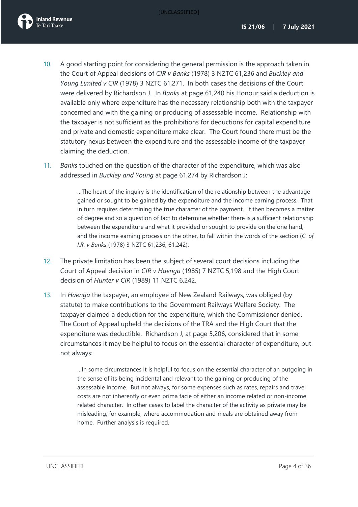

- 10. A good starting point for considering the general permission is the approach taken in the Court of Appeal decisions of *CIR v Banks* (1978) 3 NZTC 61,236 and *Buckley and Young Limited v CIR* (1978) 3 NZTC 61,271. In both cases the decisions of the Court were delivered by Richardson J. In *Banks* at page 61,240 his Honour said a deduction is available only where expenditure has the necessary relationship both with the taxpayer concerned and with the gaining or producing of assessable income. Relationship with the taxpayer is not sufficient as the prohibitions for deductions for capital expenditure and private and domestic expenditure make clear. The Court found there must be the statutory nexus between the expenditure and the assessable income of the taxpayer claiming the deduction.
- 11. *Banks* touched on the question of the character of the expenditure, which was also addressed in *Buckley and Young* at page 61,274 by Richardson J:

…The heart of the inquiry is the identification of the relationship between the advantage gained or sought to be gained by the expenditure and the income earning process. That in turn requires determining the true character of the payment. It then becomes a matter of degree and so a question of fact to determine whether there is a sufficient relationship between the expenditure and what it provided or sought to provide on the one hand, and the income earning process on the other, to fall within the words of the section (*C. of I.R. v Banks* (1978) 3 NZTC 61,236, 61,242).

- 12. The private limitation has been the subject of several court decisions including the Court of Appeal decision in *CIR v Haenga* (1985) 7 NZTC 5,198 and the High Court decision of *Hunter v CIR* (1989) 11 NZTC 6,242.
- 13. In *Haenga* the taxpayer, an employee of New Zealand Railways, was obliged (by statute) to make contributions to the Government Railways Welfare Society. The taxpayer claimed a deduction for the expenditure, which the Commissioner denied. The Court of Appeal upheld the decisions of the TRA and the High Court that the expenditure was deductible. Richardson J, at page 5,206, considered that in some circumstances it may be helpful to focus on the essential character of expenditure, but not always:

…In some circumstances it is helpful to focus on the essential character of an outgoing in the sense of its being incidental and relevant to the gaining or producing of the assessable income. But not always, for some expenses such as rates, repairs and travel costs are not inherently or even prima facie of either an income related or non-income related character. In other cases to label the character of the activity as private may be misleading, for example, where accommodation and meals are obtained away from home. Further analysis is required.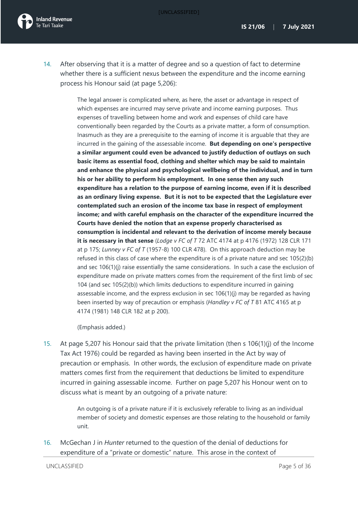

14. After observing that it is a matter of degree and so a question of fact to determine whether there is a sufficient nexus between the expenditure and the income earning process his Honour said (at page 5,206):

> The legal answer is complicated where, as here, the asset or advantage in respect of which expenses are incurred may serve private and income earning purposes. Thus expenses of travelling between home and work and expenses of child care have conventionally been regarded by the Courts as a private matter, a form of consumption. Inasmuch as they are a prerequisite to the earning of income it is arguable that they are incurred in the gaining of the assessable income. **But depending on one's perspective a similar argument could even be advanced to justify deduction of outlays on such basic items as essential food, clothing and shelter which may be said to maintain and enhance the physical and psychological wellbeing of the individual, and in turn his or her ability to perform his employment. In one sense then any such expenditure has a relation to the purpose of earning income, even if it is described as an ordinary living expense. But it is not to be expected that the Legislature ever contemplated such an erosion of the income tax base in respect of employment income; and with careful emphasis on the character of the expenditure incurred the Courts have denied the notion that an expense properly characterised as consumption is incidental and relevant to the derivation of income merely because it is necessary in that sense** (*Lodge v FC of T* 72 ATC 4174 at p 4176 (1972) 128 CLR 171 at p 175; *Lunney v FC of T* (1957-8) 100 CLR 478). On this approach deduction may be refused in this class of case where the expenditure is of a private nature and sec 105(2)(b) and sec 106(1)(j) raise essentially the same considerations. In such a case the exclusion of expenditure made on private matters comes from the requirement of the first limb of sec 104 (and sec 105(2)(b)) which limits deductions to expenditure incurred in gaining assessable income, and the express exclusion in sec 106(1)(j) may be regarded as having been inserted by way of precaution or emphasis (*Handley v FC of T* 81 ATC 4165 at p 4174 (1981) 148 CLR 182 at p 200).

(Emphasis added.)

15. At page 5,207 his Honour said that the private limitation (then s 106(1)(j) of the Income Tax Act 1976) could be regarded as having been inserted in the Act by way of precaution or emphasis. In other words, the exclusion of expenditure made on private matters comes first from the requirement that deductions be limited to expenditure incurred in gaining assessable income. Further on page 5,207 his Honour went on to discuss what is meant by an outgoing of a private nature:

> An outgoing is of a private nature if it is exclusively referable to living as an individual member of society and domestic expenses are those relating to the household or family unit.

16. McGechan J in *Hunter* returned to the question of the denial of deductions for expenditure of a "private or domestic" nature. This arose in the context of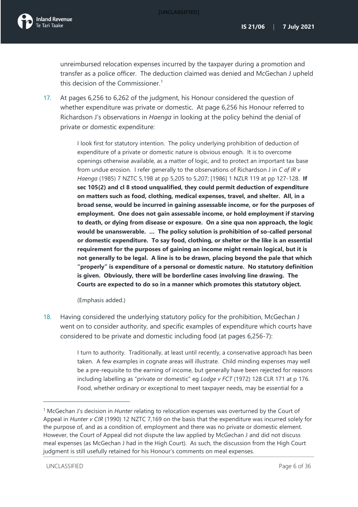unreimbursed relocation expenses incurred by the taxpayer during a promotion and transfer as a police officer. The deduction claimed was denied and McGechan J upheld this decision of the Commissioner.<sup>[1](#page-6-0)</sup>

17. At pages 6,256 to 6,262 of the judgment, his Honour considered the question of whether expenditure was private or domestic. At page 6,256 his Honour referred to Richardson J's observations in *Haenga* in looking at the policy behind the denial of private or domestic expenditure:

> I look first for statutory intention. The policy underlying prohibition of deduction of expenditure of a private or domestic nature is obvious enough. It is to overcome openings otherwise available, as a matter of logic, and to protect an important tax base from undue erosion. I refer generally to the observations of Richardson J in *C of IR v Haenga* (1985) 7 NZTC 5,198 at pp 5,205 to 5,207; [1986] 1 NZLR 119 at pp 127-128. **If sec 105(2) and cl 8 stood unqualified, they could permit deduction of expenditure on matters such as food, clothing, medical expenses, travel, and shelter. All, in a broad sense, would be incurred in gaining assessable income, or for the purposes of employment. One does not gain assessable income, or hold employment if starving to death, or dying from disease or exposure. On a sine qua non approach, the logic would be unanswerable. … The policy solution is prohibition of so-called personal or domestic expenditure. To say food, clothing, or shelter or the like is an essential requirement for the purposes of gaining an income might remain logical, but it is not generally to be legal. A line is to be drawn, placing beyond the pale that which "properly" is expenditure of a personal or domestic nature. No statutory definition is given. Obviously, there will be borderline cases involving line drawing. The Courts are expected to do so in a manner which promotes this statutory object.**

(Emphasis added.)

18. Having considered the underlying statutory policy for the prohibition, McGechan J went on to consider authority, and specific examples of expenditure which courts have considered to be private and domestic including food (at pages 6,256-7):

> I turn to authority. Traditionally, at least until recently, a conservative approach has been taken. A few examples in cognate areas will illustrate. Child minding expenses may well be a pre-requisite to the earning of income, but generally have been rejected for reasons including labelling as "private or domestic" eg *Lodge v FCT* (1972) 128 CLR 171 at p 176. Food, whether ordinary or exceptional to meet taxpayer needs, may be essential for a

<span id="page-6-0"></span><sup>1</sup> McGechan J's decision in *Hunter* relating to relocation expenses was overturned by the Court of Appeal in *Hunter v CIR* (1990) 12 NZTC 7,169 on the basis that the expenditure was incurred solely for the purpose of, and as a condition of, employment and there was no private or domestic element. However, the Court of Appeal did not dispute the law applied by McGechan J and did not discuss meal expenses (as McGechan J had in the High Court). As such, the discussion from the High Court judgment is still usefully retained for his Honour's comments on meal expenses.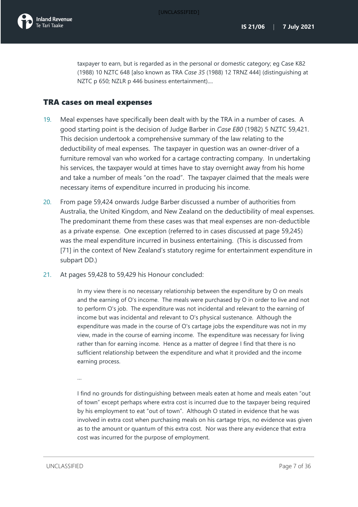

taxpayer to earn, but is regarded as in the personal or domestic category; eg Case K82 (1988) 10 NZTC 648 [also known as TRA *Case 35* (1988) 12 TRNZ 444] (distinguishing at NZTC p 650; NZLR p 446 business entertainment)....

### <span id="page-7-0"></span>TRA cases on meal expenses

- 19. Meal expenses have specifically been dealt with by the TRA in a number of cases. A good starting point is the decision of Judge Barber in *Case E80* (1982) 5 NZTC 59,421. This decision undertook a comprehensive summary of the law relating to the deductibility of meal expenses. The taxpayer in question was an owner-driver of a furniture removal van who worked for a cartage contracting company. In undertaking his services, the taxpayer would at times have to stay overnight away from his home and take a number of meals "on the road". The taxpayer claimed that the meals were necessary items of expenditure incurred in producing his income.
- 20. From page 59,424 onwards Judge Barber discussed a number of authorities from Australia, the United Kingdom, and New Zealand on the deductibility of meal expenses. The predominant theme from these cases was that meal expenses are non-deductible as a private expense. One exception (referred to in cases discussed at page 59,245) was the meal expenditure incurred in business entertaining. (This is discussed from [\[71\]](#page-21-1) in the context of New Zealand's statutory regime for entertainment expenditure in subpart DD.)
- 21. At pages 59,428 to 59,429 his Honour concluded:

In my view there is no necessary relationship between the expenditure by O on meals and the earning of O's income. The meals were purchased by O in order to live and not to perform O's job. The expenditure was not incidental and relevant to the earning of income but was incidental and relevant to O's physical sustenance. Although the expenditure was made in the course of O's cartage jobs the expenditure was not in my view, made in the course of earning income. The expenditure was necessary for living rather than for earning income. Hence as a matter of degree I find that there is no sufficient relationship between the expenditure and what it provided and the income earning process.

…

I find no grounds for distinguishing between meals eaten at home and meals eaten "out of town" except perhaps where extra cost is incurred due to the taxpayer being required by his employment to eat "out of town". Although O stated in evidence that he was involved in extra cost when purchasing meals on his cartage trips, no evidence was given as to the amount or quantum of this extra cost. Nor was there any evidence that extra cost was incurred for the purpose of employment.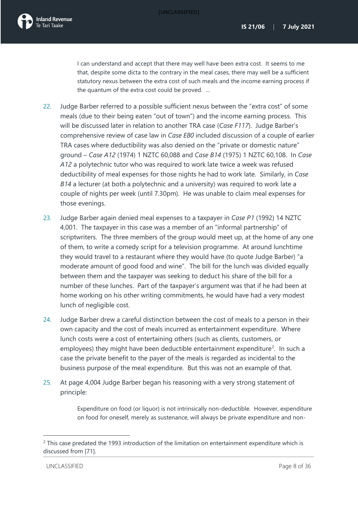I can understand and accept that there may well have been extra cost. It seems to me that, despite some dicta to the contrary in the meal cases, there may well be a sufficient statutory nexus between the extra cost of such meals and the income earning process if the quantum of the extra cost could be proved. …

- 22. Judge Barber referred to a possible sufficient nexus between the "extra cost" of some meals (due to their being eaten "out of town") and the income earning process. This will be discussed later in relation to another TRA case (*Case F117*). Judge Barber's comprehensive review of case law in *Case E80* included discussion of a couple of earlier TRA cases where deductibility was also denied on the "private or domestic nature" ground – *Case A12* (1974) 1 NZTC 60,088 and *Case B14* (1975) 1 NZTC 60,108. In *Case A12* a polytechnic tutor who was required to work late twice a week was refused deductibility of meal expenses for those nights he had to work late. Similarly, in *Case B14* a lecturer (at both a polytechnic and a university) was required to work late a couple of nights per week (until 7.30pm). He was unable to claim meal expenses for those evenings.
- 23. Judge Barber again denied meal expenses to a taxpayer in *Case P1* (1992) 14 NZTC 4,001. The taxpayer in this case was a member of an "informal partnership" of scriptwriters. The three members of the group would meet up, at the home of any one of them, to write a comedy script for a television programme. At around lunchtime they would travel to a restaurant where they would have (to quote Judge Barber) "a moderate amount of good food and wine". The bill for the lunch was divided equally between them and the taxpayer was seeking to deduct his share of the bill for a number of these lunches. Part of the taxpayer's argument was that if he had been at home working on his other writing commitments, he would have had a very modest lunch of negligible cost.
- 24. Judge Barber drew a careful distinction between the cost of meals to a person in their own capacity and the cost of meals incurred as entertainment expenditure. Where lunch costs were a cost of entertaining others (such as clients, customers, or employees) they might have been deductible entertainment expenditure<sup>[2](#page-8-0)</sup>. In such a case the private benefit to the payer of the meals is regarded as incidental to the business purpose of the meal expenditure. But this was not an example of that.
- 25. At page 4,004 Judge Barber began his reasoning with a very strong statement of principle:

Expenditure on food (or liquor) is not intrinsically non-deductible. However, expenditure on food for oneself, merely as sustenance, will always be private expenditure and non-

<span id="page-8-0"></span> $2$  This case predated the 1993 introduction of the limitation on entertainment expenditure which is discussed from [\[71\]](#page-21-1).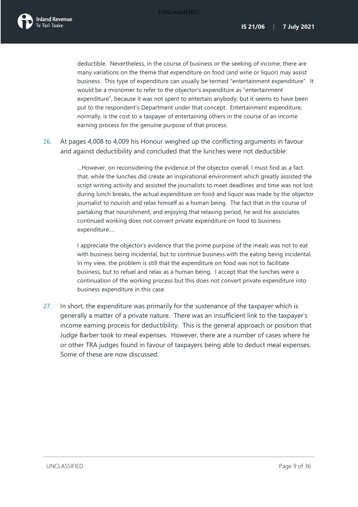deductible. Nevertheless, in the course of business or the seeking of income, there are many variations on the theme that expenditure on food (and wine or liquor) may assist business. This type of expenditure can usually be termed "entertainment expenditure". It would be a misnomer to refer to the objector's expenditure as "entertainment expenditure", because it was not spent to entertain anybody; but it seems to have been put to the respondent's Department under that concept. Entertainment expenditure, normally, is the cost to a taxpayer of entertaining others in the course of an income earning process for the genuine purpose of that process.

26. At pages 4,008 to 4,009 his Honour weighed up the conflicting arguments in favour and against deductibility and concluded that the lunches were not deductible:

> …However, on reconsidering the evidence of the objector overall, I must find as a fact that, while the lunches did create an inspirational environment which greatly assisted the script writing activity and assisted the journalists to meet deadlines and time was not lost during lunch breaks, the actual expenditure on food and liquor was made by the objector journalist to nourish and relax himself as a human being. The fact that in the course of partaking that nourishment, and enjoying that relaxing period, he and his associates continued working does not convert private expenditure on food to business expenditure….

> I appreciate the objector's evidence that the prime purpose of the meals was not to eat with business being incidental, but to continue business with the eating being incidental. In my view, the problem is still that the expenditure on food was not to facilitate business, but to refuel and relax as a human being. I accept that the lunches were a continuation of the working process but this does not convert private expenditure into business expenditure in this case.

27. In short, the expenditure was primarily for the sustenance of the taxpayer which is generally a matter of a private nature. There was an insufficient link to the taxpayer's income earning process for deductibility. This is the general approach or position that Judge Barber took to meal expenses. However, there are a number of cases where he or other TRA judges found in favour of taxpayers being able to deduct meal expenses. Some of these are now discussed.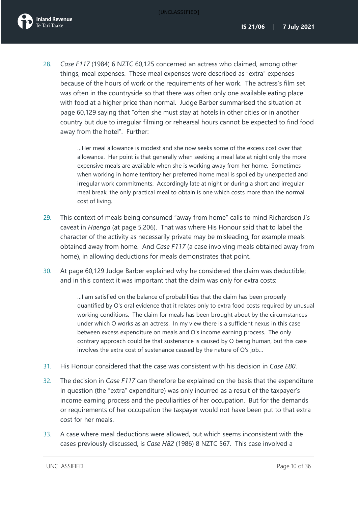<span id="page-10-0"></span>28. *Case F117* (1984) 6 NZTC 60,125 concerned an actress who claimed, among other things, meal expenses. These meal expenses were described as "extra" expenses because of the hours of work or the requirements of her work. The actress's film set was often in the countryside so that there was often only one available eating place with food at a higher price than normal. Judge Barber summarised the situation at page 60,129 saying that "often she must stay at hotels in other cities or in another country but due to irregular filming or rehearsal hours cannot be expected to find food away from the hotel". Further:

> …Her meal allowance is modest and she now seeks some of the excess cost over that allowance. Her point is that generally when seeking a meal late at night only the more expensive meals are available when she is working away from her home. Sometimes when working in home territory her preferred home meal is spoiled by unexpected and irregular work commitments. Accordingly late at night or during a short and irregular meal break, the only practical meal to obtain is one which costs more than the normal cost of living.

- 29. This context of meals being consumed "away from home" calls to mind Richardson J's caveat in *Haenga* (at page 5,206). That was where His Honour said that to label the character of the activity as necessarily private may be misleading, for example meals obtained away from home. And *Case F117* (a case involving meals obtained away from home), in allowing deductions for meals demonstrates that point.
- 30. At page 60,129 Judge Barber explained why he considered the claim was deductible; and in this context it was important that the claim was only for extra costs:

…I am satisfied on the balance of probabilities that the claim has been properly quantified by O's oral evidence that it relates only to extra food costs required by unusual working conditions. The claim for meals has been brought about by the circumstances under which O works as an actress. In my view there is a sufficient nexus in this case between excess expenditure on meals and O's income earning process. The only contrary approach could be that sustenance is caused by O being human, but this case involves the extra cost of sustenance caused by the nature of O's job…

- 31. His Honour considered that the case was consistent with his decision in *Case E80*.
- 32. The decision in *Case F117* can therefore be explained on the basis that the expenditure in question (the "extra" expenditure) was only incurred as a result of the taxpayer's income earning process and the peculiarities of her occupation. But for the demands or requirements of her occupation the taxpayer would not have been put to that extra cost for her meals.
- 33. A case where meal deductions were allowed, but which seems inconsistent with the cases previously discussed, is *Case H82* (1986) 8 NZTC 567. This case involved a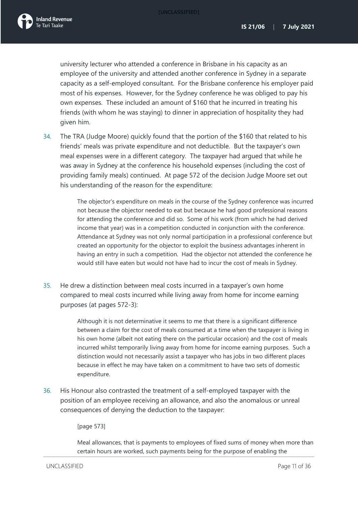university lecturer who attended a conference in Brisbane in his capacity as an employee of the university and attended another conference in Sydney in a separate capacity as a self-employed consultant. For the Brisbane conference his employer paid most of his expenses. However, for the Sydney conference he was obliged to pay his own expenses. These included an amount of \$160 that he incurred in treating his friends (with whom he was staying) to dinner in appreciation of hospitality they had given him.

34. The TRA (Judge Moore) quickly found that the portion of the \$160 that related to his friends' meals was private expenditure and not deductible. But the taxpayer's own meal expenses were in a different category. The taxpayer had argued that while he was away in Sydney at the conference his household expenses (including the cost of providing family meals) continued. At page 572 of the decision Judge Moore set out his understanding of the reason for the expenditure:

> The objector's expenditure on meals in the course of the Sydney conference was incurred not because the objector needed to eat but because he had good professional reasons for attending the conference and did so. Some of his work (from which he had derived income that year) was in a competition conducted in conjunction with the conference. Attendance at Sydney was not only normal participation in a professional conference but created an opportunity for the objector to exploit the business advantages inherent in having an entry in such a competition. Had the objector not attended the conference he would still have eaten but would not have had to incur the cost of meals in Sydney.

35. He drew a distinction between meal costs incurred in a taxpayer's own home compared to meal costs incurred while living away from home for income earning purposes (at pages 572-3):

> Although it is not determinative it seems to me that there is a significant difference between a claim for the cost of meals consumed at a time when the taxpayer is living in his own home (albeit not eating there on the particular occasion) and the cost of meals incurred whilst temporarily living away from home for income earning purposes. Such a distinction would not necessarily assist a taxpayer who has jobs in two different places because in effect he may have taken on a commitment to have two sets of domestic expenditure.

36. His Honour also contrasted the treatment of a self-employed taxpayer with the position of an employee receiving an allowance, and also the anomalous or unreal consequences of denying the deduction to the taxpayer:

[page 573]

Meal allowances, that is payments to employees of fixed sums of money when more than certain hours are worked, such payments being for the purpose of enabling the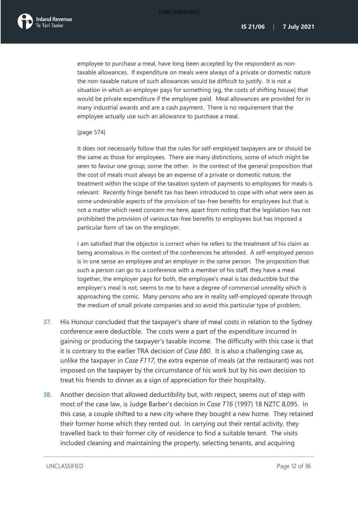employee to purchase a meal, have long been accepted by the respondent as nontaxable allowances. If expenditure on meals were always of a private or domestic nature the non-taxable nature of such allowances would be difficult to justify. It is not a situation in which an employer pays for something (eg, the costs of shifting house) that would be private expenditure if the employee paid. Meal allowances are provided for in many industrial awards and are a cash payment. There is no requirement that the employee actually use such an allowance to purchase a meal.

### [page 574]

It does not necessarily follow that the rules for self-employed taxpayers are or should be the same as those for employees. There are many distinctions, some of which might be seen to favour one group, some the other. In the context of the general proposition that the cost of meals must always be an expense of a private or domestic nature, the treatment within the scope of the taxation system of payments to employees for meals is relevant. Recently fringe benefit tax has been introduced to cope with what were seen as some undesirable aspects of the provision of tax-free benefits for employees but that is not a matter which need concern me here, apart from noting that the legislation has not prohibited the provision of various tax-free benefits to employees but has imposed a particular form of tax on the employer.

I am satisfied that the objector is correct when he refers to the treatment of his claim as being anomalous in the context of the conferences he attended. A self-employed person is in one sense an employee and an employer in the same person. The proposition that such a person can go to a conference with a member of his staff, they have a meal together, the employer pays for both, the employee's meal is tax deductible but the employer's meal is not, seems to me to have a degree of commercial unreality which is approaching the comic. Many persons who are in reality self-employed operate through the medium of small private companies and so avoid this particular type of problem.

- <span id="page-12-0"></span>37. His Honour concluded that the taxpayer's share of meal costs in relation to the Sydney conference were deductible. The costs were a part of the expenditure incurred in gaining or producing the taxpayer's taxable income. The difficulty with this case is that it is contrary to the earlier TRA decision of *Case E80*. It is also a challenging case as, unlike the taxpayer in *Case F117*, the extra expense of meals (at the restaurant) was not imposed on the taxpayer by the circumstance of his work but by his own decision to treat his friends to dinner as a sign of appreciation for their hospitality.
- 38. Another decision that allowed deductibility but, with respect, seems out of step with most of the case law, is Judge Barber's decision in *Case T16* (1997) 18 NZTC 8,095. In this case, a couple shifted to a new city where they bought a new home. They retained their former home which they rented out. In carrying out their rental activity, they travelled back to their former city of residence to find a suitable tenant. The visits included cleaning and maintaining the property, selecting tenants, and acquiring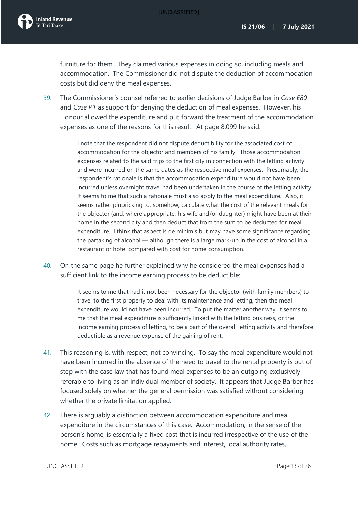furniture for them. They claimed various expenses in doing so, including meals and accommodation. The Commissioner did not dispute the deduction of accommodation costs but did deny the meal expenses.

39. The Commissioner's counsel referred to earlier decisions of Judge Barber in *Case E80* and *Case P1* as support for denying the deduction of meal expenses. However, his Honour allowed the expenditure and put forward the treatment of the accommodation expenses as one of the reasons for this result. At page 8,099 he said:

> I note that the respondent did not dispute deductibility for the associated cost of accommodation for the objector and members of his family. Those accommodation expenses related to the said trips to the first city in connection with the letting activity and were incurred on the same dates as the respective meal expenses. Presumably, the respondent's rationale is that the accommodation expenditure would not have been incurred unless overnight travel had been undertaken in the course of the letting activity. It seems to me that such a rationale must also apply to the meal expenditure. Also, it seems rather pinpricking to, somehow, calculate what the cost of the relevant meals for the objector (and, where appropriate, his wife and/or daughter) might have been at their home in the second city and then deduct that from the sum to be deducted for meal expenditure. I think that aspect is de minimis but may have some significance regarding the partaking of alcohol — although there is a large mark-up in the cost of alcohol in a restaurant or hotel compared with cost for home consumption.

40. On the same page he further explained why he considered the meal expenses had a sufficient link to the income earning process to be deductible:

> It seems to me that had it not been necessary for the objector (with family members) to travel to the first property to deal with its maintenance and letting, then the meal expenditure would not have been incurred. To put the matter another way, it seems to me that the meal expenditure is sufficiently linked with the letting business, or the income earning process of letting, to be a part of the overall letting activity and therefore deductible as a revenue expense of the gaining of rent.

- 41. This reasoning is, with respect, not convincing. To say the meal expenditure would not have been incurred in the absence of the need to travel to the rental property is out of step with the case law that has found meal expenses to be an outgoing exclusively referable to living as an individual member of society. It appears that Judge Barber has focused solely on whether the general permission was satisfied without considering whether the private limitation applied.
- 42. There is arguably a distinction between accommodation expenditure and meal expenditure in the circumstances of this case. Accommodation, in the sense of the person's home, is essentially a fixed cost that is incurred irrespective of the use of the home. Costs such as mortgage repayments and interest, local authority rates,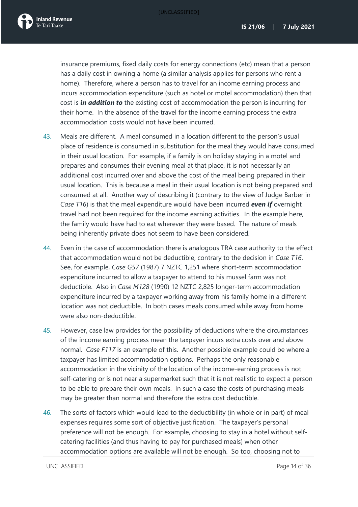insurance premiums, fixed daily costs for energy connections (etc) mean that a person has a daily cost in owning a home (a similar analysis applies for persons who rent a home). Therefore, where a person has to travel for an income earning process and incurs accommodation expenditure (such as hotel or motel accommodation) then that cost is *in addition to* the existing cost of accommodation the person is incurring for their home. In the absence of the travel for the income earning process the extra accommodation costs would not have been incurred.

- 43. Meals are different. A meal consumed in a location different to the person's usual place of residence is consumed in substitution for the meal they would have consumed in their usual location. For example, if a family is on holiday staying in a motel and prepares and consumes their evening meal at that place, it is not necessarily an additional cost incurred over and above the cost of the meal being prepared in their usual location. This is because a meal in their usual location is not being prepared and consumed at all. Another way of describing it (contrary to the view of Judge Barber in *Case T16*) is that the meal expenditure would have been incurred *even if* overnight travel had not been required for the income earning activities. In the example here, the family would have had to eat wherever they were based. The nature of meals being inherently private does not seem to have been considered.
- 44. Even in the case of accommodation there is analogous TRA case authority to the effect that accommodation would not be deductible, contrary to the decision in *Case T16*. See, for example, *Case G57* (1987) 7 NZTC 1,251 where short-term accommodation expenditure incurred to allow a taxpayer to attend to his mussel farm was not deductible. Also in *Case M128* (1990) 12 NZTC 2,825 longer-term accommodation expenditure incurred by a taxpayer working away from his family home in a different location was not deductible. In both cases meals consumed while away from home were also non-deductible.
- 45. However, case law provides for the possibility of deductions where the circumstances of the income earning process mean the taxpayer incurs extra costs over and above normal. *Case F117* is an example of this. Another possible example could be where a taxpayer has limited accommodation options. Perhaps the only reasonable accommodation in the vicinity of the location of the income-earning process is not self-catering or is not near a supermarket such that it is not realistic to expect a person to be able to prepare their own meals. In such a case the costs of purchasing meals may be greater than normal and therefore the extra cost deductible.
- 46. The sorts of factors which would lead to the deductibility (in whole or in part) of meal expenses requires some sort of objective justification. The taxpayer's personal preference will not be enough. For example, choosing to stay in a hotel without selfcatering facilities (and thus having to pay for purchased meals) when other accommodation options are available will not be enough. So too, choosing not to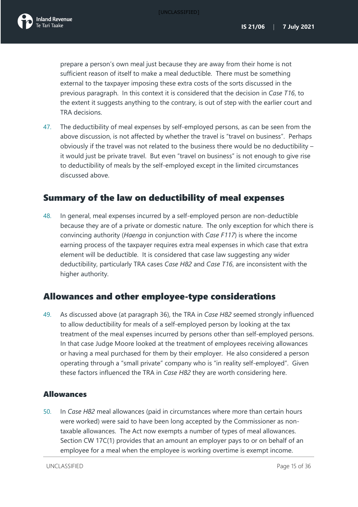prepare a person's own meal just because they are away from their home is not sufficient reason of itself to make a meal deductible. There must be something external to the taxpayer imposing these extra costs of the sorts discussed in the previous paragraph. In this context it is considered that the decision in *Case T16*, to the extent it suggests anything to the contrary, is out of step with the earlier court and TRA decisions.

47. The deductibility of meal expenses by self-employed persons, as can be seen from the above discussion, is not affected by whether the travel is "travel on business". Perhaps obviously if the travel was not related to the business there would be no deductibility – it would just be private travel. But even "travel on business" is not enough to give rise to deductibility of meals by the self-employed except in the limited circumstances discussed above.

## <span id="page-15-0"></span>Summary of the law on deductibility of meal expenses

48. In general, meal expenses incurred by a self-employed person are non-deductible because they are of a private or domestic nature. The only exception for which there is convincing authority (*Haenga* in conjunction with *Case F117*) is where the income earning process of the taxpayer requires extra meal expenses in which case that extra element will be deductible. It is considered that case law suggesting any wider deductibility, particularly TRA cases *Case H82* and *Case T16*, are inconsistent with the higher authority.

## <span id="page-15-1"></span>Allowances and other employee-type considerations

<span id="page-15-3"></span>49. As discussed above (at paragraph [36\)](#page-12-0), the TRA in *Case H82* seemed strongly influenced to allow deductibility for meals of a self-employed person by looking at the tax treatment of the meal expenses incurred by persons other than self-employed persons. In that case Judge Moore looked at the treatment of employees receiving allowances or having a meal purchased for them by their employer. He also considered a person operating through a "small private" company who is "in reality self-employed". Given these factors influenced the TRA in *Case H82* they are worth considering here.

### <span id="page-15-2"></span>Allowances

50. In *Case H82* meal allowances (paid in circumstances where more than certain hours were worked) were said to have been long accepted by the Commissioner as nontaxable allowances. The Act now exempts a number of types of meal allowances. Section CW 17C(1) provides that an amount an employer pays to or on behalf of an employee for a meal when the employee is working overtime is exempt income.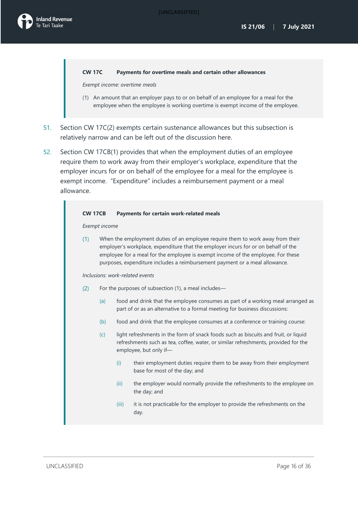#### **CW 17C Payments for overtime meals and certain other allowances**

*Exempt income: overtime meals*

- (1) An amount that an employer pays to or on behalf of an employee for a meal for the employee when the employee is working overtime is exempt income of the employee.
- 51. Section CW 17C(2) exempts certain sustenance allowances but this subsection is relatively narrow and can be left out of the discussion here.
- 52. Section CW 17CB(1) provides that when the employment duties of an employee require them to work away from their employer's workplace, expenditure that the employer incurs for or on behalf of the employee for a meal for the employee is exempt income. "Expenditure" includes a reimbursement payment or a meal allowance.

#### **CW 17CB Payments for certain work-related meals**

*Exempt income*

When the employment duties of an employee require them to work away from their  $(1)$ employer's workplace, expenditure that the employer incurs for or on behalf of the employee for a meal for the employee is exempt income of the employee. For these purposes, expenditure includes a reimbursement payment or a meal allowance.

*Inclusions: work-related events*

- For the purposes of subsection (1), a meal includes—  $(2)$ 
	- (a) food and drink that the employee consumes as part of a working meal arranged as part of or as an alternative to a formal meeting for business discussions:
	- (b) food and drink that the employee consumes at a conference or training course:
	- (c) light refreshments in the form of snack foods such as biscuits and fruit, or liquid refreshments such as tea, coffee, water, or similar refreshments, provided for the employee, but only if—
		- (i) their employment duties require them to be away from their employment base for most of the day; and
		- (ii) the employer would normally provide the refreshments to the employee on the day; and
		- (iii) it is not practicable for the employer to provide the refreshments on the day.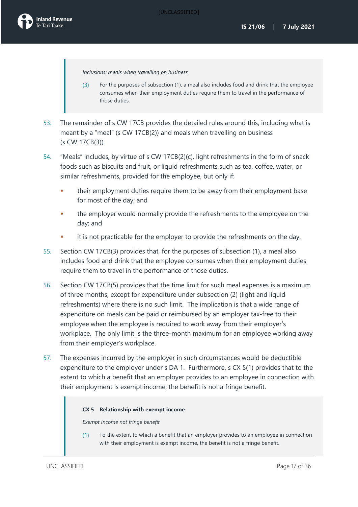*Inclusions: meals when travelling on business*

- $(3)$ For the purposes of subsection (1), a meal also includes food and drink that the employee consumes when their employment duties require them to travel in the performance of those duties.
- 53. The remainder of s CW 17CB provides the detailed rules around this, including what is meant by a "meal" (s CW 17CB(2)) and meals when travelling on business (s CW 17CB(3)).
- 54. "Meals" includes, by virtue of s CW 17CB(2)(c), light refreshments in the form of snack foods such as biscuits and fruit, or liquid refreshments such as tea, coffee, water, or similar refreshments, provided for the employee, but only if:
	- their employment duties require them to be away from their employment base for most of the day; and
	- the employer would normally provide the refreshments to the employee on the day; and
	- it is not practicable for the employer to provide the refreshments on the day.
- 55. Section CW 17CB(3) provides that, for the purposes of subsection (1), a meal also includes food and drink that the employee consumes when their employment duties require them to travel in the performance of those duties.
- 56. Section CW 17CB(5) provides that the time limit for such meal expenses is a maximum of three months, except for expenditure under subsection (2) (light and liquid refreshments) where there is no such limit. The implication is that a wide range of expenditure on meals can be paid or reimbursed by an employer tax-free to their employee when the employee is required to work away from their employer's workplace. The only limit is the three-month maximum for an employee working away from their employer's workplace.
- 57. The expenses incurred by the employer in such circumstances would be deductible expenditure to the employer under s DA 1. Furthermore, s CX 5(1) provides that to the extent to which a benefit that an employer provides to an employee in connection with their employment is exempt income, the benefit is not a fringe benefit.

#### **CX 5 Relationship with exempt income**

*Exempt income not fringe benefit*

 $(1)$ To the extent to which a benefit that an employer provides to an employee in connection with their employment is exempt income, the benefit is not a fringe benefit.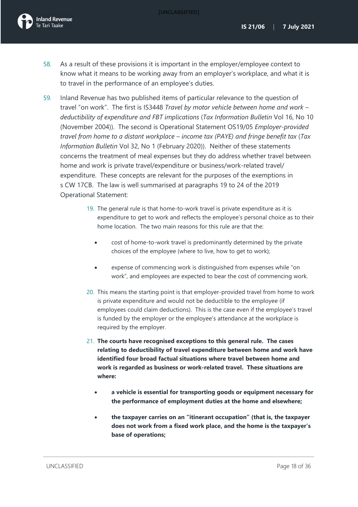- 58. As a result of these provisions it is important in the employer/employee context to know what it means to be working away from an employer's workplace, and what it is to travel in the performance of an employee's duties.
- 59. Inland Revenue has two published items of particular relevance to the question of travel "on work". The first is IS3448 *Travel by motor vehicle between home and work – deductibility of expenditure and FBT implications* (*Tax Information Bulletin* Vol 16, No 10 (November 2004)). The second is Operational Statement OS19/05 *Employer-provided travel from home to a distant workplace – income tax (PAYE) and fringe benefit tax* (*Tax Information Bulletin* Vol 32, No 1 (February 2020)). Neither of these statements concerns the treatment of meal expenses but they do address whether travel between home and work is private travel/expenditure or business/work-related travel/ expenditure. These concepts are relevant for the purposes of the exemptions in s CW 17CB. The law is well summarised at paragraphs 19 to 24 of the 2019 Operational Statement:
	- 19. The general rule is that home-to-work travel is private expenditure as it is expenditure to get to work and reflects the employee's personal choice as to their home location. The two main reasons for this rule are that the:
		- cost of home-to-work travel is predominantly determined by the private choices of the employee (where to live, how to get to work);
		- expense of commencing work is distinguished from expenses while "on work", and employees are expected to bear the cost of commencing work.
	- 20. This means the starting point is that employer-provided travel from home to work is private expenditure and would not be deductible to the employee (if employees could claim deductions). This is the case even if the employee's travel is funded by the employer or the employee's attendance at the workplace is required by the employer.
	- 21. **The courts have recognised exceptions to this general rule. The cases relating to deductibility of travel expenditure between home and work have identified four broad factual situations where travel between home and work is regarded as business or work-related travel. These situations are where:** 
		- **a vehicle is essential for transporting goods or equipment necessary for the performance of employment duties at the home and elsewhere;**
		- **the taxpayer carries on an "itinerant occupation" (that is, the taxpayer does not work from a fixed work place, and the home is the taxpayer's base of operations;**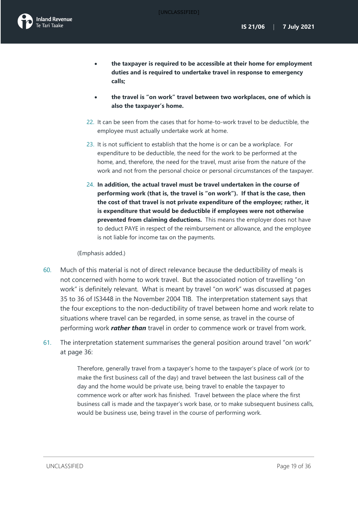- **the taxpayer is required to be accessible at their home for employment duties and is required to undertake travel in response to emergency calls;**
- **the travel is "on work" travel between two workplaces, one of which is also the taxpayer's home.**
- 22. It can be seen from the cases that for home-to-work travel to be deductible, the employee must actually undertake work at home.
- 23. It is not sufficient to establish that the home is or can be a workplace. For expenditure to be deductible, the need for the work to be performed at the home, and, therefore, the need for the travel, must arise from the nature of the work and not from the personal choice or personal circumstances of the taxpayer.
- 24. **In addition, the actual travel must be travel undertaken in the course of performing work (that is, the travel is "on work"). If that is the case, then the cost of that travel is not private expenditure of the employee; rather, it is expenditure that would be deductible if employees were not otherwise prevented from claiming deductions.** This means the employer does not have to deduct PAYE in respect of the reimbursement or allowance, and the employee is not liable for income tax on the payments.

(Emphasis added.)

- 60. Much of this material is not of direct relevance because the deductibility of meals is not concerned with home to work travel. But the associated notion of travelling "on work" is definitely relevant. What is meant by travel "on work" was discussed at pages 35 to 36 of IS3448 in the November 2004 TIB. The interpretation statement says that the four exceptions to the non-deductibility of travel between home and work relate to situations where travel can be regarded, in some sense, as travel in the course of performing work *rather than* travel in order to commence work or travel from work.
- 61. The interpretation statement summarises the general position around travel "on work" at page 36:

Therefore, generally travel from a taxpayer's home to the taxpayer's place of work (or to make the first business call of the day) and travel between the last business call of the day and the home would be private use, being travel to enable the taxpayer to commence work or after work has finished. Travel between the place where the first business call is made and the taxpayer's work base, or to make subsequent business calls, would be business use, being travel in the course of performing work.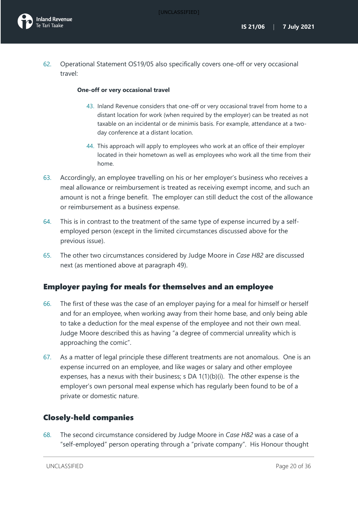62. Operational Statement OS19/05 also specifically covers one-off or very occasional travel:

### **One-off or very occasional travel**

- 43. Inland Revenue considers that one-off or very occasional travel from home to a distant location for work (when required by the employer) can be treated as not taxable on an incidental or de minimis basis. For example, attendance at a twoday conference at a distant location.
- 44. This approach will apply to employees who work at an office of their employer located in their hometown as well as employees who work all the time from their home.
- 63. Accordingly, an employee travelling on his or her employer's business who receives a meal allowance or reimbursement is treated as receiving exempt income, and such an amount is not a fringe benefit. The employer can still deduct the cost of the allowance or reimbursement as a business expense.
- 64. This is in contrast to the treatment of the same type of expense incurred by a selfemployed person (except in the limited circumstances discussed above for the previous issue).
- 65. The other two circumstances considered by Judge Moore in *Case H82* are discussed next (as mentioned above at paragraph [49\)](#page-15-3).

### <span id="page-20-0"></span>Employer paying for meals for themselves and an employee

- 66. The first of these was the case of an employer paying for a meal for himself or herself and for an employee, when working away from their home base, and only being able to take a deduction for the meal expense of the employee and not their own meal. Judge Moore described this as having "a degree of commercial unreality which is approaching the comic".
- 67. As a matter of legal principle these different treatments are not anomalous. One is an expense incurred on an employee, and like wages or salary and other employee expenses, has a nexus with their business; s DA  $1(1)(b)(i)$ . The other expense is the employer's own personal meal expense which has regularly been found to be of a private or domestic nature.

### <span id="page-20-1"></span>Closely-held companies

68. The second circumstance considered by Judge Moore in *Case H82* was a case of a "self-employed" person operating through a "private company". His Honour thought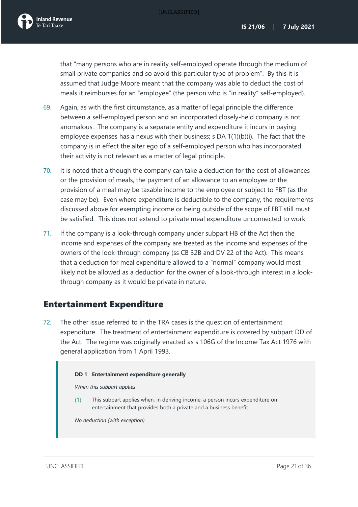that "many persons who are in reality self-employed operate through the medium of small private companies and so avoid this particular type of problem". By this it is assumed that Judge Moore meant that the company was able to deduct the cost of meals it reimburses for an "employee" (the person who is "in reality" self-employed).

- 69. Again, as with the first circumstance, as a matter of legal principle the difference between a self-employed person and an incorporated closely-held company is not anomalous. The company is a separate entity and expenditure it incurs in paying employee expenses has a nexus with their business; s DA 1(1)(b)(i). The fact that the company is in effect the alter ego of a self-employed person who has incorporated their activity is not relevant as a matter of legal principle.
- 70. It is noted that although the company can take a deduction for the cost of allowances or the provision of meals, the payment of an allowance to an employee or the provision of a meal may be taxable income to the employee or subject to FBT (as the case may be). Even where expenditure is deductible to the company, the requirements discussed above for exempting income or being outside of the scope of FBT still must be satisfied. This does not extend to private meal expenditure unconnected to work.
- 71. If the company is a look-through company under subpart HB of the Act then the income and expenses of the company are treated as the income and expenses of the owners of the look-through company (ss CB 32B and DV 22 of the Act). This means that a deduction for meal expenditure allowed to a "normal" company would most likely not be allowed as a deduction for the owner of a look-through interest in a lookthrough company as it would be private in nature.

## <span id="page-21-0"></span>Entertainment Expenditure

<span id="page-21-1"></span>72. The other issue referred to in the TRA cases is the question of entertainment expenditure. The treatment of entertainment expenditure is covered by subpart DD of the Act. The regime was originally enacted as s 106G of the Income Tax Act 1976 with general application from 1 April 1993.

#### **DD 1 Entertainment expenditure generally**

*When this subpart applies*

 $(1)$ This subpart applies when, in deriving income, a person incurs expenditure on entertainment that provides both a private and a business benefit.

*No deduction (with exception)*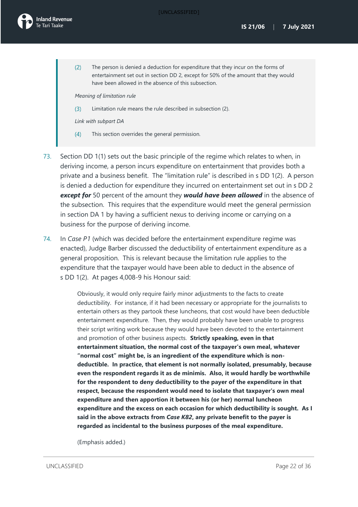

The person is denied a deduction for expenditure that they incur on the forms of  $(2)$ entertainment set out in section DD 2, except for 50% of the amount that they would have been allowed in the absence of this subsection.

*Meaning of limitation rule*

 $(3)$ Limitation rule means the rule described in subsection (2).

*Link with subpart DA*

- $(4)$ This section overrides the general permission.
- 73. Section DD 1(1) sets out the basic principle of the regime which relates to when, in deriving income, a person incurs expenditure on entertainment that provides both a private and a business benefit. The "limitation rule" is described in s DD 1(2). A person is denied a deduction for expenditure they incurred on entertainment set out in s DD 2 *except for* 50 percent of the amount they *would have been allowed* in the absence of the subsection. This requires that the expenditure would meet the general permission in section DA 1 by having a sufficient nexus to deriving income or carrying on a business for the purpose of deriving income.
- 74. In *Case P1* (which was decided before the entertainment expenditure regime was enacted), Judge Barber discussed the deductibility of entertainment expenditure as a general proposition. This is relevant because the limitation rule applies to the expenditure that the taxpayer would have been able to deduct in the absence of s DD 1(2). At pages 4,008-9 his Honour said:

Obviously, it would only require fairly minor adjustments to the facts to create deductibility. For instance, if it had been necessary or appropriate for the journalists to entertain others as they partook these luncheons, that cost would have been deductible entertainment expenditure. Then, they would probably have been unable to progress their script writing work because they would have been devoted to the entertainment and promotion of other business aspects. **Strictly speaking, even in that entertainment situation, the normal cost of the taxpayer's own meal, whatever "normal cost" might be, is an ingredient of the expenditure which is nondeductible. In practice, that element is not normally isolated, presumably, because even the respondent regards it as de minimis. Also, it would hardly be worthwhile for the respondent to deny deductibility to the payer of the expenditure in that respect, because the respondent would need to isolate that taxpayer's own meal expenditure and then apportion it between his (or her) normal luncheon expenditure and the excess on each occasion for which deductibility is sought. As I said in the above extracts from** *Case K82***, any private benefit to the payer is regarded as incidental to the business purposes of the meal expenditure.**

(Emphasis added.)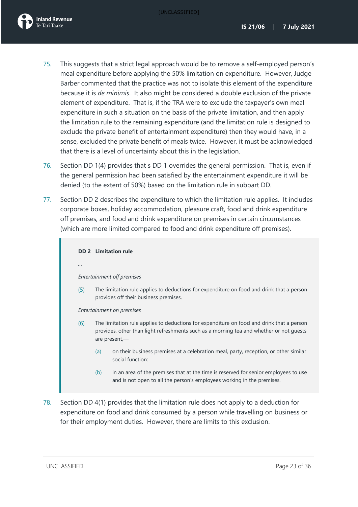

- 75. This suggests that a strict legal approach would be to remove a self-employed person's meal expenditure before applying the 50% limitation on expenditure. However, Judge Barber commented that the practice was not to isolate this element of the expenditure because it is *de minimis*. It also might be considered a double exclusion of the private element of expenditure. That is, if the TRA were to exclude the taxpayer's own meal expenditure in such a situation on the basis of the private limitation, and then apply the limitation rule to the remaining expenditure (and the limitation rule is designed to exclude the private benefit of entertainment expenditure) then they would have, in a sense, excluded the private benefit of meals twice. However, it must be acknowledged that there is a level of uncertainty about this in the legislation.
- 76. Section DD 1(4) provides that s DD 1 overrides the general permission. That is, even if the general permission had been satisfied by the entertainment expenditure it will be denied (to the extent of 50%) based on the limitation rule in subpart DD.
- 77. Section DD 2 describes the expenditure to which the limitation rule applies. It includes corporate boxes, holiday accommodation, pleasure craft, food and drink expenditure off premises, and food and drink expenditure on premises in certain circumstances (which are more limited compared to food and drink expenditure off premises).

#### **DD 2 Limitation rule**

*…*

#### *Entertainment off premises*

 $(5)$ The limitation rule applies to deductions for expenditure on food and drink that a person provides off their business premises.

*Entertainment on premises*

- $(6)$ The limitation rule applies to deductions for expenditure on food and drink that a person provides, other than light refreshments such as a morning tea and whether or not guests are present,—
	- (a) on their business premises at a celebration meal, party, reception, or other similar social function:
	- (b) in an area of the premises that at the time is reserved for senior employees to use and is not open to all the person's employees working in the premises.
- 78. Section DD 4(1) provides that the limitation rule does not apply to a deduction for expenditure on food and drink consumed by a person while travelling on business or for their employment duties. However, there are limits to this exclusion.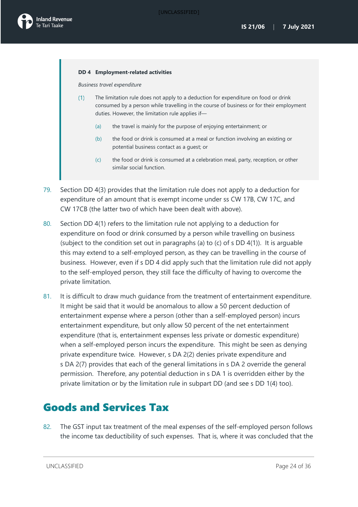

#### **DD 4 Employment-related activities**

*Business travel expenditure*

- The limitation rule does not apply to a deduction for expenditure on food or drink  $(1)$ consumed by a person while travelling in the course of business or for their employment duties. However, the limitation rule applies if—
	- (a) the travel is mainly for the purpose of enjoying entertainment; or
	- (b) the food or drink is consumed at a meal or function involving an existing or potential business contact as a guest; or
	- (c) the food or drink is consumed at a celebration meal, party, reception, or other similar social function.
- 79. Section DD 4(3) provides that the limitation rule does not apply to a deduction for expenditure of an amount that is exempt income under ss CW 17B, CW 17C, and CW 17CB (the latter two of which have been dealt with above).
- 80. Section DD 4(1) refers to the limitation rule not applying to a deduction for expenditure on food or drink consumed by a person while travelling on business (subject to the condition set out in paragraphs (a) to (c) of s DD 4(1)). It is arguable this may extend to a self-employed person, as they can be travelling in the course of business. However, even if s DD 4 did apply such that the limitation rule did not apply to the self-employed person, they still face the difficulty of having to overcome the private limitation.
- 81. It is difficult to draw much guidance from the treatment of entertainment expenditure. It might be said that it would be anomalous to allow a 50 percent deduction of entertainment expense where a person (other than a self-employed person) incurs entertainment expenditure, but only allow 50 percent of the net entertainment expenditure (that is, entertainment expenses less private or domestic expenditure) when a self-employed person incurs the expenditure. This might be seen as denying private expenditure twice. However, s DA 2(2) denies private expenditure and s DA 2(7) provides that each of the general limitations in s DA 2 override the general permission. Therefore, any potential deduction in s DA 1 is overridden either by the private limitation or by the limitation rule in subpart DD (and see s DD 1(4) too).

## <span id="page-24-0"></span>Goods and Services Tax

82. The GST input tax treatment of the meal expenses of the self-employed person follows the income tax deductibility of such expenses. That is, where it was concluded that the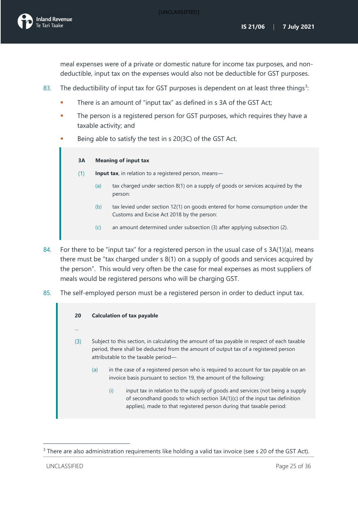

meal expenses were of a private or domestic nature for income tax purposes, and nondeductible, input tax on the expenses would also not be deductible for GST purposes.

- 8[3](#page-25-0). The deductibility of input tax for GST purposes is dependent on at least three things<sup>3</sup>:
	- There is an amount of "input tax" as defined in s 3A of the GST Act;
	- The person is a registered person for GST purposes, which requires they have a taxable activity; and
	- Being able to satisfy the test in s 20(3C) of the GST Act.

#### **3A Meaning of input tax**

- $(1)$ **Input tax**, in relation to a registered person, means—
	- (a) tax charged unde[r section 8\(1\)](http://legislation.govt.nz/act/public/1985/0141/latest/link.aspx?id=DLM82299#DLM82299) on a supply of goods or services acquired by the person:
	- (b) tax levied under [section 12\(1\)](http://legislation.govt.nz/act/public/1985/0141/latest/link.aspx?id=DLM83048#DLM83048) on goods entered for home consumption under the [Customs and Excise Act 2018](http://legislation.govt.nz/act/public/1985/0141/latest/link.aspx?id=DLM7038920) by the person:
	- (c) an amount determined under subsection (3) after applying subsection (2).
- 84. For there to be "input tax" for a registered person in the usual case of s 3A(1)(a), means there must be "tax charged under s 8(1) on a supply of goods and services acquired by the person". This would very often be the case for meal expenses as most suppliers of meals would be registered persons who will be charging GST.
- 85. The self-employed person must be a registered person in order to deduct input tax.

| 20<br> |     | <b>Calculation of tax payable</b>                                                                                                                                                                                                          |  |  |
|--------|-----|--------------------------------------------------------------------------------------------------------------------------------------------------------------------------------------------------------------------------------------------|--|--|
| (3)    |     | Subject to this section, in calculating the amount of tax payable in respect of each taxable<br>period, there shall be deducted from the amount of output tax of a registered person<br>attributable to the taxable period-                |  |  |
|        | (a) | in the case of a registered person who is required to account for tax payable on an<br>invoice basis pursuant to section 19, the amount of the following:                                                                                  |  |  |
|        |     | input tax in relation to the supply of goods and services (not being a supply<br>(i)<br>of second hand goods to which section 3A(1)(c) of the input tax definition<br>applies), made to that registered person during that taxable period: |  |  |

<span id="page-25-0"></span><sup>&</sup>lt;sup>3</sup> There are also administration requirements like holding a valid tax invoice (see s 20 of the GST Act).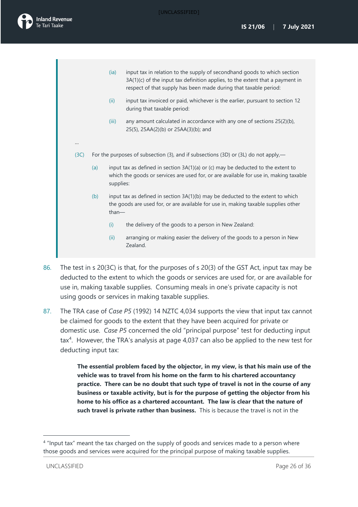

…

- (ia) input tax in relation to the supply of secondhand goods to which section 3A(1)(c) of the input tax definition applies, to the extent that a payment in respect of that supply has been made during that taxable period:
- (ii) input tax invoiced or paid, whichever is the earlier, pursuant to section 12 during that taxable period:
- (iii) any amount calculated in accordance with any one of sections 25(2)(b), 25(5), 25AA(2)(b) or 25AA(3)(b); and
- (3C) For the purposes of subsection (3), and if subsections (3D) or (3L) do not apply,—
	- (a) input tax as defined in section 3A(1)(a) or (c) may be deducted to the extent to which the goods or services are used for, or are available for use in, making taxable supplies:
	- (b) input tax as defined in section  $3A(1)(b)$  may be deducted to the extent to which the goods are used for, or are available for use in, making taxable supplies other than—
		- (i) the delivery of the goods to a person in New Zealand:
		- (ii) arranging or making easier the delivery of the goods to a person in New Zealand.
- 86. The test in s 20(3C) is that, for the purposes of s 20(3) of the GST Act, input tax may be deducted to the extent to which the goods or services are used for, or are available for use in, making taxable supplies. Consuming meals in one's private capacity is not using goods or services in making taxable supplies.
- 87. The TRA case of *Case P5* (1992) 14 NZTC 4,034 supports the view that input tax cannot be claimed for goods to the extent that they have been acquired for private or domestic use. *Case P5* concerned the old "principal purpose" test for deducting input  $\text{tax}^4$  $\text{tax}^4$ . However, the TRA's analysis at page 4,037 can also be applied to the new test for deducting input tax:

**The essential problem faced by the objector, in my view, is that his main use of the vehicle was to travel from his home on the farm to his chartered accountancy practice. There can be no doubt that such type of travel is not in the course of any business or taxable activity, but is for the purpose of getting the objector from his home to his office as a chartered accountant. The law is clear that the nature of such travel is private rather than business.** This is because the travel is not in the

<span id="page-26-0"></span><sup>&</sup>lt;sup>4</sup> "Input tax" meant the tax charged on the supply of goods and services made to a person where those goods and services were acquired for the principal purpose of making taxable supplies.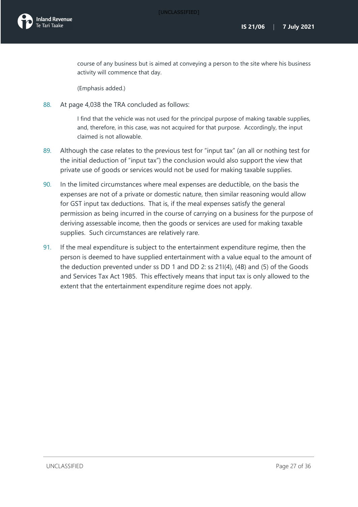

course of any business but is aimed at conveying a person to the site where his business activity will commence that day.

(Emphasis added.)

88. At page 4,038 the TRA concluded as follows:

I find that the vehicle was not used for the principal purpose of making taxable supplies, and, therefore, in this case, was not acquired for that purpose. Accordingly, the input claimed is not allowable.

- 89. Although the case relates to the previous test for "input tax" (an all or nothing test for the initial deduction of "input tax") the conclusion would also support the view that private use of goods or services would not be used for making taxable supplies.
- 90. In the limited circumstances where meal expenses are deductible, on the basis the expenses are not of a private or domestic nature, then similar reasoning would allow for GST input tax deductions. That is, if the meal expenses satisfy the general permission as being incurred in the course of carrying on a business for the purpose of deriving assessable income, then the goods or services are used for making taxable supplies. Such circumstances are relatively rare.
- 91. If the meal expenditure is subject to the entertainment expenditure regime, then the person is deemed to have supplied entertainment with a value equal to the amount of the deduction prevented under ss DD 1 and DD 2: ss 21I(4), (4B) and (5) of the Goods and Services Tax Act 1985. This effectively means that input tax is only allowed to the extent that the entertainment expenditure regime does not apply.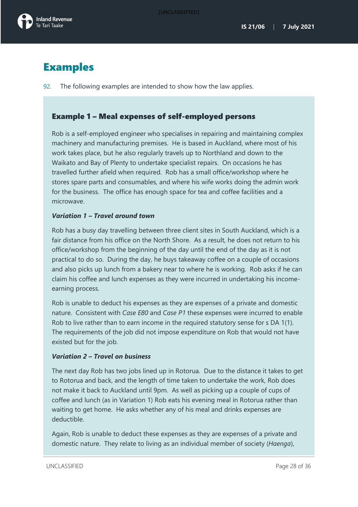

## <span id="page-28-0"></span>Examples

92. The following examples are intended to show how the law applies.

### Example 1 – Meal expenses of self-employed persons

Rob is a self-employed engineer who specialises in repairing and maintaining complex machinery and manufacturing premises. He is based in Auckland, where most of his work takes place, but he also regularly travels up to Northland and down to the Waikato and Bay of Plenty to undertake specialist repairs. On occasions he has travelled further afield when required. Rob has a small office/workshop where he stores spare parts and consumables, and where his wife works doing the admin work for the business. The office has enough space for tea and coffee facilities and a microwave.

### *Variation 1 – Travel around town*

Rob has a busy day travelling between three client sites in South Auckland, which is a fair distance from his office on the North Shore. As a result, he does not return to his office/workshop from the beginning of the day until the end of the day as it is not practical to do so. During the day, he buys takeaway coffee on a couple of occasions and also picks up lunch from a bakery near to where he is working. Rob asks if he can claim his coffee and lunch expenses as they were incurred in undertaking his incomeearning process.

Rob is unable to deduct his expenses as they are expenses of a private and domestic nature. Consistent with *Case E80* and *Case P1* these expenses were incurred to enable Rob to live rather than to earn income in the required statutory sense for s DA 1(1). The requirements of the job did not impose expenditure on Rob that would not have existed but for the job.

### *Variation 2 – Travel on business*

The next day Rob has two jobs lined up in Rotorua. Due to the distance it takes to get to Rotorua and back, and the length of time taken to undertake the work, Rob does not make it back to Auckland until 9pm. As well as picking up a couple of cups of coffee and lunch (as in Variation 1) Rob eats his evening meal in Rotorua rather than waiting to get home. He asks whether any of his meal and drinks expenses are deductible.

Again, Rob is unable to deduct these expenses as they are expenses of a private and domestic nature. They relate to living as an individual member of society (*Haenga*),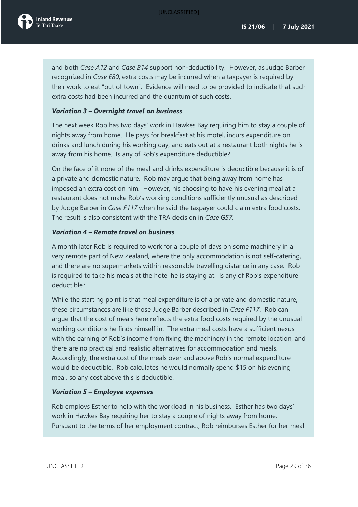

and both *Case A12* and *Case B14* support non-deductibility. However, as Judge Barber recognized in *Case E80*, extra costs may be incurred when a taxpayer is required by their work to eat "out of town". Evidence will need to be provided to indicate that such extra costs had been incurred and the quantum of such costs.

### *Variation 3 – Overnight travel on business*

The next week Rob has two days' work in Hawkes Bay requiring him to stay a couple of nights away from home. He pays for breakfast at his motel, incurs expenditure on drinks and lunch during his working day, and eats out at a restaurant both nights he is away from his home. Is any of Rob's expenditure deductible?

On the face of it none of the meal and drinks expenditure is deductible because it is of a private and domestic nature. Rob may argue that being away from home has imposed an extra cost on him. However, his choosing to have his evening meal at a restaurant does not make Rob's working conditions sufficiently unusual as described by Judge Barber in *Case F117* when he said the taxpayer could claim extra food costs. The result is also consistent with the TRA decision in *Case G57.*

### *Variation 4 – Remote travel on business*

A month later Rob is required to work for a couple of days on some machinery in a very remote part of New Zealand, where the only accommodation is not self-catering, and there are no supermarkets within reasonable travelling distance in any case. Rob is required to take his meals at the hotel he is staying at. Is any of Rob's expenditure deductible?

While the starting point is that meal expenditure is of a private and domestic nature, these circumstances are like those Judge Barber described in *Case F117*. Rob can argue that the cost of meals here reflects the extra food costs required by the unusual working conditions he finds himself in. The extra meal costs have a sufficient nexus with the earning of Rob's income from fixing the machinery in the remote location, and there are no practical and realistic alternatives for accommodation and meals. Accordingly, the extra cost of the meals over and above Rob's normal expenditure would be deductible. Rob calculates he would normally spend \$15 on his evening meal, so any cost above this is deductible.

### *Variation 5 – Employee expenses*

Rob employs Esther to help with the workload in his business. Esther has two days' work in Hawkes Bay requiring her to stay a couple of nights away from home. Pursuant to the terms of her employment contract, Rob reimburses Esther for her meal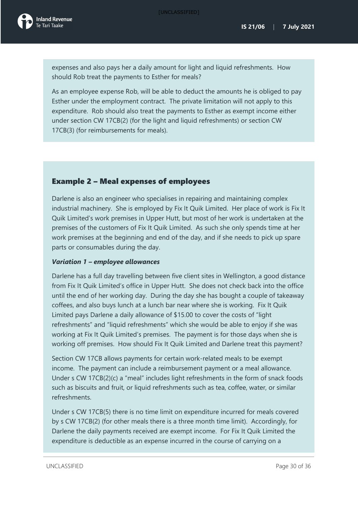expenses and also pays her a daily amount for light and liquid refreshments. How should Rob treat the payments to Esther for meals?

As an employee expense Rob, will be able to deduct the amounts he is obliged to pay Esther under the employment contract. The private limitation will not apply to this expenditure. Rob should also treat the payments to Esther as exempt income either under section CW 17CB(2) (for the light and liquid refreshments) or section CW 17CB(3) (for reimbursements for meals).

### Example 2 – Meal expenses of employees

Darlene is also an engineer who specialises in repairing and maintaining complex industrial machinery. She is employed by Fix It Quik Limited. Her place of work is Fix It Quik Limited's work premises in Upper Hutt, but most of her work is undertaken at the premises of the customers of Fix It Quik Limited. As such she only spends time at her work premises at the beginning and end of the day, and if she needs to pick up spare parts or consumables during the day.

### *Variation 1 – employee allowances*

Darlene has a full day travelling between five client sites in Wellington, a good distance from Fix It Quik Limited's office in Upper Hutt. She does not check back into the office until the end of her working day. During the day she has bought a couple of takeaway coffees, and also buys lunch at a lunch bar near where she is working. Fix It Quik Limited pays Darlene a daily allowance of \$15.00 to cover the costs of "light refreshments" and "liquid refreshments" which she would be able to enjoy if she was working at Fix It Quik Limited's premises. The payment is for those days when she is working off premises. How should Fix It Quik Limited and Darlene treat this payment?

Section CW 17CB allows payments for certain work-related meals to be exempt income. The payment can include a reimbursement payment or a meal allowance. Under s CW 17CB(2)(c) a "meal" includes light refreshments in the form of snack foods such as biscuits and fruit, or liquid refreshments such as tea, coffee, water, or similar refreshments.

Under s CW 17CB(5) there is no time limit on expenditure incurred for meals covered by s CW 17CB(2) (for other meals there is a three month time limit). Accordingly, for Darlene the daily payments received are exempt income. For Fix It Quik Limited the expenditure is deductible as an expense incurred in the course of carrying on a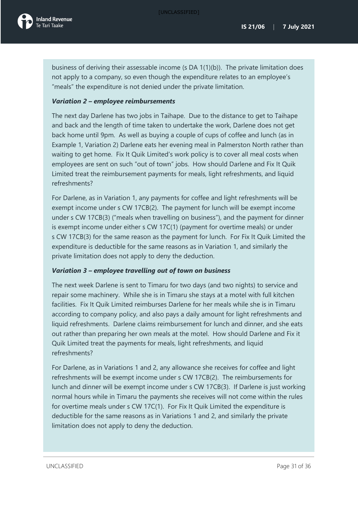business of deriving their assessable income (s DA 1(1)(b)). The private limitation does not apply to a company, so even though the expenditure relates to an employee's "meals" the expenditure is not denied under the private limitation.

### *Variation 2 – employee reimbursements*

The next day Darlene has two jobs in Taihape. Due to the distance to get to Taihape and back and the length of time taken to undertake the work, Darlene does not get back home until 9pm. As well as buying a couple of cups of coffee and lunch (as in Example 1, Variation 2) Darlene eats her evening meal in Palmerston North rather than waiting to get home. Fix It Quik Limited's work policy is to cover all meal costs when employees are sent on such "out of town" jobs. How should Darlene and Fix It Quik Limited treat the reimbursement payments for meals, light refreshments, and liquid refreshments?

For Darlene, as in Variation 1, any payments for coffee and light refreshments will be exempt income under s CW 17CB(2). The payment for lunch will be exempt income under s CW 17CB(3) ("meals when travelling on business"), and the payment for dinner is exempt income under either s CW 17C(1) (payment for overtime meals) or under s CW 17CB(3) for the same reason as the payment for lunch. For Fix It Quik Limited the expenditure is deductible for the same reasons as in Variation 1, and similarly the private limitation does not apply to deny the deduction.

### *Variation 3 – employee travelling out of town on business*

The next week Darlene is sent to Timaru for two days (and two nights) to service and repair some machinery. While she is in Timaru she stays at a motel with full kitchen facilities. Fix It Quik Limited reimburses Darlene for her meals while she is in Timaru according to company policy, and also pays a daily amount for light refreshments and liquid refreshments. Darlene claims reimbursement for lunch and dinner, and she eats out rather than preparing her own meals at the motel. How should Darlene and Fix it Quik Limited treat the payments for meals, light refreshments, and liquid refreshments?

For Darlene, as in Variations 1 and 2, any allowance she receives for coffee and light refreshments will be exempt income under s CW 17CB(2). The reimbursements for lunch and dinner will be exempt income under s CW 17CB(3). If Darlene is just working normal hours while in Timaru the payments she receives will not come within the rules for overtime meals under s CW 17C(1). For Fix It Quik Limited the expenditure is deductible for the same reasons as in Variations 1 and 2, and similarly the private limitation does not apply to deny the deduction.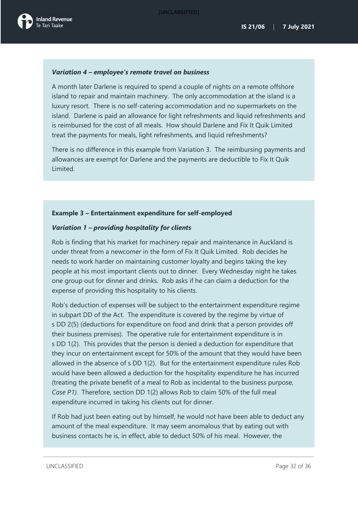### *Variation 4 – employee's remote travel on business*

A month later Darlene is required to spend a couple of nights on a remote offshore island to repair and maintain machinery. The only accommodation at the island is a luxury resort. There is no self-catering accommodation and no supermarkets on the island. Darlene is paid an allowance for light refreshments and liquid refreshments and is reimbursed for the cost of all meals. How should Darlene and Fix It Quik Limited treat the payments for meals, light refreshments, and liquid refreshments?

There is no difference in this example from Variation 3. The reimbursing payments and allowances are exempt for Darlene and the payments are deductible to Fix It Quik Limited.

### **Example 3 – Entertainment expenditure for self-employed**

### *Variation 1 – providing hospitality for clients*

Rob is finding that his market for machinery repair and maintenance in Auckland is under threat from a newcomer in the form of Fix It Quik Limited. Rob decides he needs to work harder on maintaining customer loyalty and begins taking the key people at his most important clients out to dinner. Every Wednesday night he takes one group out for dinner and drinks. Rob asks if he can claim a deduction for the expense of providing this hospitality to his clients.

Rob's deduction of expenses will be subject to the entertainment expenditure regime in subpart DD of the Act. The expenditure is covered by the regime by virtue of s DD 2(5) (deductions for expenditure on food and drink that a person provides off their business premises). The operative rule for entertainment expenditure is in s DD 1(2). This provides that the person is denied a deduction for expenditure that they incur on entertainment except for 50% of the amount that they would have been allowed in the absence of s DD 1(2). But for the entertainment expenditure rules Rob would have been allowed a deduction for the hospitality expenditure he has incurred (treating the private benefit of a meal to Rob as incidental to the business purpose, *Case P1).* Therefore, section DD 1(2) allows Rob to claim 50% of the full meal expenditure incurred in taking his clients out for dinner.

If Rob had just been eating out by himself, he would not have been able to deduct any amount of the meal expenditure. It may seem anomalous that by eating out with business contacts he is, in effect, able to deduct 50% of his meal. However, the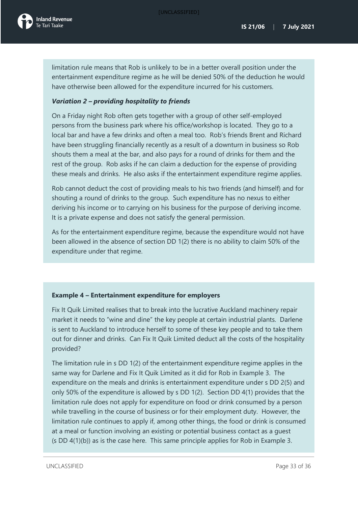limitation rule means that Rob is unlikely to be in a better overall position under the entertainment expenditure regime as he will be denied 50% of the deduction he would have otherwise been allowed for the expenditure incurred for his customers.

### *Variation 2 – providing hospitality to friends*

On a Friday night Rob often gets together with a group of other self-employed persons from the business park where his office/workshop is located. They go to a local bar and have a few drinks and often a meal too. Rob's friends Brent and Richard have been struggling financially recently as a result of a downturn in business so Rob shouts them a meal at the bar, and also pays for a round of drinks for them and the rest of the group. Rob asks if he can claim a deduction for the expense of providing these meals and drinks. He also asks if the entertainment expenditure regime applies.

Rob cannot deduct the cost of providing meals to his two friends (and himself) and for shouting a round of drinks to the group. Such expenditure has no nexus to either deriving his income or to carrying on his business for the purpose of deriving income. It is a private expense and does not satisfy the general permission.

As for the entertainment expenditure regime, because the expenditure would not have been allowed in the absence of section DD 1(2) there is no ability to claim 50% of the expenditure under that regime.

### **Example 4 – Entertainment expenditure for employers**

Fix It Quik Limited realises that to break into the lucrative Auckland machinery repair market it needs to "wine and dine" the key people at certain industrial plants. Darlene is sent to Auckland to introduce herself to some of these key people and to take them out for dinner and drinks. Can Fix It Quik Limited deduct all the costs of the hospitality provided?

The limitation rule in s DD 1(2) of the entertainment expenditure regime applies in the same way for Darlene and Fix It Quik Limited as it did for Rob in Example 3. The expenditure on the meals and drinks is entertainment expenditure under s DD 2(5) and only 50% of the expenditure is allowed by s DD 1(2). Section DD 4(1) provides that the limitation rule does not apply for expenditure on food or drink consumed by a person while travelling in the course of business or for their employment duty. However, the limitation rule continues to apply if, among other things, the food or drink is consumed at a meal or function involving an existing or potential business contact as a guest (s DD 4(1)(b)) as is the case here. This same principle applies for Rob in Example 3.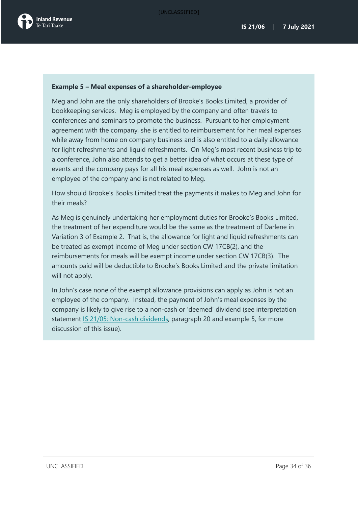### **Example 5 – Meal expenses of a shareholder-employee**

Meg and John are the only shareholders of Brooke's Books Limited, a provider of bookkeeping services. Meg is employed by the company and often travels to conferences and seminars to promote the business. Pursuant to her employment agreement with the company, she is entitled to reimbursement for her meal expenses while away from home on company business and is also entitled to a daily allowance for light refreshments and liquid refreshments. On Meg's most recent business trip to a conference, John also attends to get a better idea of what occurs at these type of events and the company pays for all his meal expenses as well. John is not an employee of the company and is not related to Meg.

How should Brooke's Books Limited treat the payments it makes to Meg and John for their meals?

As Meg is genuinely undertaking her employment duties for Brooke's Books Limited, the treatment of her expenditure would be the same as the treatment of Darlene in Variation 3 of Example 2. That is, the allowance for light and liquid refreshments can be treated as exempt income of Meg under section CW 17CB(2), and the reimbursements for meals will be exempt income under section CW 17CB(3). The amounts paid will be deductible to Brooke's Books Limited and the private limitation will not apply.

In John's case none of the exempt allowance provisions can apply as John is not an employee of the company. Instead, the payment of John's meal expenses by the company is likely to give rise to a non-cash or 'deemed' dividend (see interpretation statement [IS 21/05: Non-cash dividends,](https://www.taxtechnical.ird.govt.nz/interpretation-statements/2021/is-21-05) paragraph 20 and example 5, for more discussion of this issue).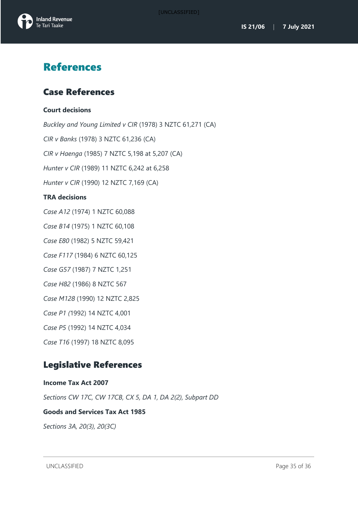



## <span id="page-35-0"></span>References

## <span id="page-35-1"></span>Case References

### **Court decisions**

*Buckley and Young Limited v CIR* (1978) 3 NZTC 61,271 (CA) *CIR v Banks* (1978) 3 NZTC 61,236 (CA) *CIR v Haenga* (1985) 7 NZTC 5,198 at 5,207 (CA) *Hunter v CIR* (1989) 11 NZTC 6,242 at 6,258 *Hunter v CIR* (1990) 12 NZTC 7,169 (CA) **TRA decisions** *Case A12* (1974) 1 NZTC 60,088 *Case B14* (1975) 1 NZTC 60,108 *Case E80* (1982) 5 NZTC 59,421 *Case F117* (1984) 6 NZTC 60,125 *Case G57* (1987) 7 NZTC 1,251 *Case H82* (1986) 8 NZTC 567 *Case M128* (1990) 12 NZTC 2,825 *Case P1 (*1992) 14 NZTC 4,001 *Case P5* (1992) 14 NZTC 4,034 *Case T16* (1997) 18 NZTC 8,095

## <span id="page-35-2"></span>Legislative References

**Income Tax Act 2007** *Sections CW 17C, CW 17CB, CX 5, DA 1, DA 2(2), Subpart DD* **Goods and Services Tax Act 1985**

*Sections 3A, 20(3), 20(3C)*